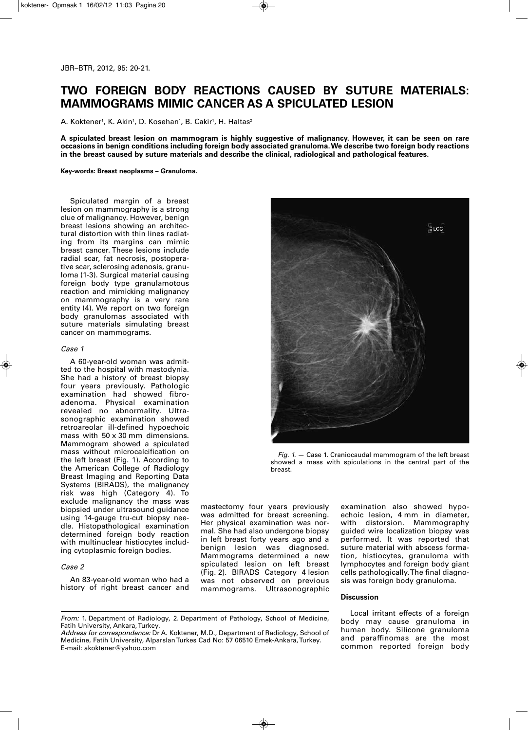# **TWO FOREIGN BODY REACTIONS CAUSED BY SUTURE MATERIALS: MAMMOGRAMS MIMIC CANCER AS A SPICULATED LESION**

A. Koktener<sup>,</sup>, K. Akin<sup>,</sup>, D. Kosehan<sup>,</sup>, B. Cakir<sup>,</sup>, H. Haltas<del>'</del>

A spiculated breast lesion on mammogram is highly suggestive of malignancy. However, it can be seen on rare **occasions in benign conditions including foreign body associated granuloma.We describe two foreign body reactions in the breast caused by suture materials and describe the clinical, radiological and pathological features.**

**Key-words: Breast neoplasms – Granuloma.**

Spiculated margin of a breast lesion on mammography is a strong clue of malignancy. However, benign breast lesions showing an architectural distortion with thin lines radiating from its margins can mimic breast cancer. These lesions include radial scar, fat necrosis, postoperative scar, sclerosing adenosis, granuloma (1-3). Surgical material causing foreign body type granulamotous reaction and mimicking malignancy on mammography is a very rare entity (4). We report on two foreign body granulomas associated with suture materials simulating breast cancer on mammograms.

### *Case 1*

A 60-year-old woman was admitted to the hospital with mastodynia. She had a history of breast biopsy four years previously. Pathologic examination had showed fibroadenoma. Physical examination revealed no abnormality. Ultrasonographic examination showed retroareolar ill-defined hypoechoic mass with 50 x 30 mm dimensions. Mammogram showed a spiculated mass without microcalcification on the left breast (Fig. 1). According to the American College of Radiology Breast Imaging and Reporting Data Systems (BIRADS), the malignancy risk was high (Category 4). To exclude malignancy the mass was biopsied under ultrasound guidance using 14-gauge tru-cut biopsy needle. Histopathological examination determined foreign body reaction with multinuclear histiocytes including cytoplasmic foreign bodies.

#### *Case 2*

An 83-year-old woman who had a history of right breast cancer and



*Fig. 1.* — Case 1. Craniocaudal mammogram of the left breast showed a mass with spiculations in the central part of the breast.

mastectomy four years previously was admitted for breast screening. Her physical examination was normal. She had also undergone biopsy in left breast forty years ago and a benign lesion was diagnosed. Mammograms determined a new spiculated lesion on left breast (Fig. 2). BIRADS Category 4 lesion was not observed on previous mammograms. Ultrasonographic examination also showed hypoechoic lesion, 4 mm in diameter, with distorsion. Mammography guided wire localization biopsy was performed. It was reported that suture material with abscess formation, histiocytes, granuloma with lymphocytes and foreign body giant cells pathologically.The final diagnosis was foreign body granuloma.

## **Discussion**

*Address for correspondence:* Dr A. Koktener, M.D., Department of Radiology, School of Medicine, Fatih University, Alparslan Turkes Cad No: 57 06510 Emek-Ankara, Turkey. E-mail: akoktener@yahoo.com

Local irritant effects of a foreign body may cause granuloma in human body. Silicone granuloma and paraffinomas are the most common reported foreign body

*From:* 1. Department of Radiology, 2. Department of Pathology, School of Medicine, Fatih University, Ankara,Turkey.